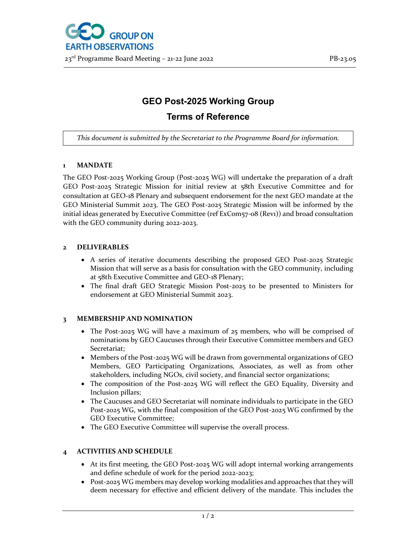

# GEO Post-2025 Working Group

## Terms of Reference

This document is submitted by the Secretariat to the Programme Board for information.

## 1 MANDATE

The GEO Post-2025 Working Group (Post-2025 WG) will undertake the preparation of a draft GEO Post-2025 Strategic Mission for initial review at 58th Executive Committee and for consultation at GEO-18 Plenary and subsequent endorsement for the next GEO mandate at the GEO Ministerial Summit 2023. The GEO Post-2025 Strategic Mission will be informed by the initial ideas generated by Executive Committee (ref ExCom57-08 (Rev1)) and broad consultation with the GEO community during 2022-2023.

#### 2 DELIVERABLES

- A series of iterative documents describing the proposed GEO Post-2025 Strategic Mission that will serve as a basis for consultation with the GEO community, including at 58th Executive Committee and GEO-18 Plenary;
- The final draft GEO Strategic Mission Post-2025 to be presented to Ministers for endorsement at GEO Ministerial Summit 2023.

## 3 MEMBERSHIP AND NOMINATION

- The Post-2025 WG will have a maximum of 25 members, who will be comprised of nominations by GEO Caucuses through their Executive Committee members and GEO Secretariat;
- Members of the Post-2025 WG will be drawn from governmental organizations of GEO Members, GEO Participating Organizations, Associates, as well as from other stakeholders, including NGOs, civil society, and financial sector organizations;
- The composition of the Post-2025 WG will reflect the GEO Equality, Diversity and Inclusion pillars;
- The Caucuses and GEO Secretariat will nominate individuals to participate in the GEO Post-2025 WG, with the final composition of the GEO Post-2025 WG confirmed by the GEO Executive Committee;
- The GEO Executive Committee will supervise the overall process.

## 4 ACTIVITIES AND SCHEDULE

- At its first meeting, the GEO Post-2025 WG will adopt internal working arrangements and define schedule of work for the period 2022-2023;
- Post-2025 WG members may develop working modalities and approaches that they will deem necessary for effective and efficient delivery of the mandate. This includes the